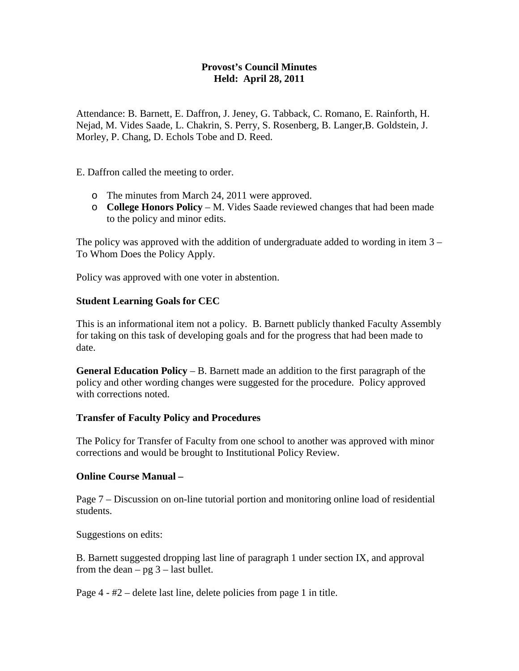## **Provost's Council Minutes Held: April 28, 2011**

Attendance: B. Barnett, E. Daffron, J. Jeney, G. Tabback, C. Romano, E. Rainforth, H. Nejad, M. Vides Saade, L. Chakrin, S. Perry, S. Rosenberg, B. Langer,B. Goldstein, J. Morley, P. Chang, D. Echols Tobe and D. Reed.

E. Daffron called the meeting to order.

- o The minutes from March 24, 2011 were approved.
- o **College Honors Policy** M. Vides Saade reviewed changes that had been made to the policy and minor edits.

The policy was approved with the addition of undergraduate added to wording in item  $3 -$ To Whom Does the Policy Apply.

Policy was approved with one voter in abstention.

## **Student Learning Goals for CEC**

This is an informational item not a policy. B. Barnett publicly thanked Faculty Assembly for taking on this task of developing goals and for the progress that had been made to date.

**General Education Policy** – B. Barnett made an addition to the first paragraph of the policy and other wording changes were suggested for the procedure. Policy approved with corrections noted.

## **Transfer of Faculty Policy and Procedures**

The Policy for Transfer of Faculty from one school to another was approved with minor corrections and would be brought to Institutional Policy Review.

## **Online Course Manual –**

Page 7 – Discussion on on-line tutorial portion and monitoring online load of residential students.

Suggestions on edits:

B. Barnett suggested dropping last line of paragraph 1 under section IX, and approval from the dean –  $pg 3$  – last bullet.

Page 4 - #2 – delete last line, delete policies from page 1 in title.